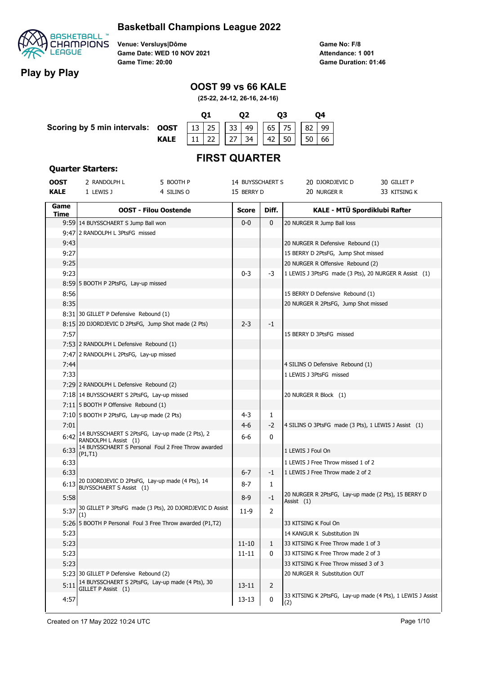#### **Basketball Champions League 2022**



**Play by Play**

**Venue: Versluys|Dôme Game Date: WED 10 NOV 2021 Game Time: 20:00**

**Game No: F/8 Game Duration: 01:46 Attendance: 1 001**

### **OOST 99 vs 66 KALE**

**(25-22, 24-12, 26-16, 24-16)**



## **FIRST QUARTER**

#### **Quarter Starters:**

| <b>OOST</b> | 2 RANDOLPH L<br>5 BOOTH P                                                                                                       | 14 BUYSSCHAERT S |                | 20 DJORDJEVIC D<br>30 GILLET P                                      |
|-------------|---------------------------------------------------------------------------------------------------------------------------------|------------------|----------------|---------------------------------------------------------------------|
| <b>KALE</b> | 1 LEWIS J<br>4 SILINS O                                                                                                         | 15 BERRY D       |                | 20 NURGER R<br>33 KITSING K                                         |
| Game        |                                                                                                                                 |                  |                |                                                                     |
| Time        | <b>OOST - Filou Oostende</b>                                                                                                    | <b>Score</b>     | Diff.          | KALE - MTÜ Spordiklubi Rafter                                       |
|             | 9:59 14 BUYSSCHAERT S Jump Ball won                                                                                             | $0-0$            | $\mathbf{0}$   | 20 NURGER R Jump Ball loss                                          |
|             | 9:47 2 RANDOLPH L 3PtsFG missed                                                                                                 |                  |                |                                                                     |
| 9:43        |                                                                                                                                 |                  |                | 20 NURGER R Defensive Rebound (1)                                   |
| 9:27        |                                                                                                                                 |                  |                | 15 BERRY D 2PtsFG, Jump Shot missed                                 |
| 9:25        |                                                                                                                                 |                  |                | 20 NURGER R Offensive Rebound (2)                                   |
| 9:23        |                                                                                                                                 | $0 - 3$          | -3             | 1 LEWIS J 3PtsFG made (3 Pts), 20 NURGER R Assist (1)               |
|             | 8:59 5 BOOTH P 2PtsFG, Lay-up missed                                                                                            |                  |                |                                                                     |
| 8:56        |                                                                                                                                 |                  |                | 15 BERRY D Defensive Rebound (1)                                    |
| 8:35        |                                                                                                                                 |                  |                | 20 NURGER R 2PtsFG, Jump Shot missed                                |
|             | 8:31 30 GILLET P Defensive Rebound (1)                                                                                          |                  |                |                                                                     |
|             | 8:15 20 DJORDJEVIC D 2PtsFG, Jump Shot made (2 Pts)                                                                             | $2 - 3$          | -1             |                                                                     |
| 7:57        |                                                                                                                                 |                  |                | 15 BERRY D 3PtsFG missed                                            |
|             | 7:53 2 RANDOLPH L Defensive Rebound (1)                                                                                         |                  |                |                                                                     |
|             | 7:47 2 RANDOLPH L 2PtsFG, Lay-up missed                                                                                         |                  |                |                                                                     |
| 7:44        |                                                                                                                                 |                  |                | 4 SILINS O Defensive Rebound (1)                                    |
| 7:33        |                                                                                                                                 |                  |                | 1 LEWIS J 3PtsFG missed                                             |
|             | 7:29 2 RANDOLPH L Defensive Rebound (2)                                                                                         |                  |                |                                                                     |
|             | 7:18 14 BUYSSCHAERT S 2PtsFG, Lay-up missed                                                                                     |                  |                | 20 NURGER R Block (1)                                               |
|             | 7:11 5 BOOTH P Offensive Rebound (1)                                                                                            |                  |                |                                                                     |
|             | 7:10 5 BOOTH P 2PtsFG, Lay-up made (2 Pts)                                                                                      | 4-3              | 1              |                                                                     |
| 7:01        |                                                                                                                                 | $4-6$            | -2             | 4 SILINS O 3PtsFG made (3 Pts), 1 LEWIS J Assist (1)                |
| 6:42        | 14 BUYSSCHAERT S 2PtsFG, Lay-up made (2 Pts), 2<br>RANDOLPH L Assist (1)<br>14 BUYSSCHAERT S Personal Foul 2 Free Throw awarded | 6-6              | 0              |                                                                     |
| 6:33        | (P1,T1)                                                                                                                         |                  |                | 1 LEWIS J Foul On                                                   |
| 6:33        |                                                                                                                                 |                  |                | 1 LEWIS J Free Throw missed 1 of 2                                  |
| 6:33        |                                                                                                                                 | $6 - 7$          | -1             | 1 LEWIS J Free Throw made 2 of 2                                    |
| 6:13        | 20 DJORDJEVIC D 2PtsFG, Lay-up made (4 Pts), 14<br>BUYSSCHAERT S Assist (1)                                                     | 8-7              | 1              |                                                                     |
| 5:58        |                                                                                                                                 | $8-9$            | -1             | 20 NURGER R 2PtsFG, Lay-up made (2 Pts), 15 BERRY D<br>Assist $(1)$ |
| 5:37        | 30 GILLET P 3PtsFG made (3 Pts), 20 DJORDJEVIC D Assist<br>(1)                                                                  | $11-9$           | 2              |                                                                     |
|             | 5:26 5 BOOTH P Personal Foul 3 Free Throw awarded (P1,T2)                                                                       |                  |                | 33 KITSING K Foul On                                                |
| 5:23        |                                                                                                                                 |                  |                | 14 KANGUR K Substitution IN                                         |
| 5:23        |                                                                                                                                 | $11 - 10$        | 1              | 33 KITSING K Free Throw made 1 of 3                                 |
| 5:23        |                                                                                                                                 | $11 - 11$        | 0              | 33 KITSING K Free Throw made 2 of 3                                 |
| 5:23        |                                                                                                                                 |                  |                | 33 KITSING K Free Throw missed 3 of 3                               |
|             | 5:23 30 GILLET P Defensive Rebound (2)                                                                                          |                  |                | 20 NURGER R Substitution OUT                                        |
| 5:11        | 14 BUYSSCHAERT S 2PtsFG, Lay-up made (4 Pts), 30<br>GILLET P Assist (1)                                                         | 13-11            | $\overline{2}$ |                                                                     |
| 4:57        |                                                                                                                                 | 13-13            | 0              | 33 KITSING K 2PtsFG, Lay-up made (4 Pts), 1 LEWIS J Assist<br>(2)   |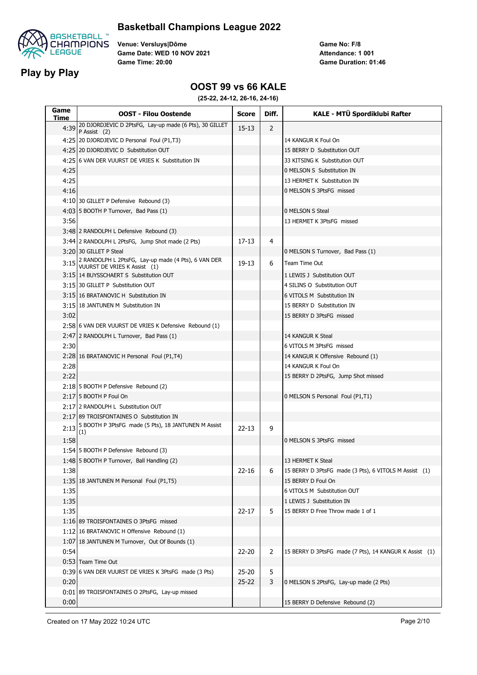

#### **Basketball Champions League 2022**

**Venue: Versluys|Dôme Game Date: WED 10 NOV 2021 Game Time: 20:00**

**Game No: F/8 Game Duration: 01:46 Attendance: 1 001**

#### **OOST 99 vs 66 KALE**

| Game<br>Time | <b>OOST - Filou Oostende</b>                                                        | <b>Score</b> | Diff.          | KALE - MTÜ Spordiklubi Rafter                          |
|--------------|-------------------------------------------------------------------------------------|--------------|----------------|--------------------------------------------------------|
| 4:39         | 20 DJORDJEVIC D 2PtsFG, Lay-up made (6 Pts), 30 GILLET<br>P Assist (2)              | $15 - 13$    | $\overline{2}$ |                                                        |
|              | 4:25 20 DJORDJEVIC D Personal Foul (P1,T3)                                          |              |                | 14 KANGUR K Foul On                                    |
|              | 4:25 20 DJORDJEVIC D Substitution OUT                                               |              |                | 15 BERRY D Substitution OUT                            |
|              | 4:2516 VAN DER VUURST DE VRIES K Substitution IN                                    |              |                | 33 KITSING K Substitution OUT                          |
| 4:25         |                                                                                     |              |                | 0 MELSON S Substitution IN                             |
| 4:25         |                                                                                     |              |                | 13 HERMET K Substitution IN                            |
| 4:16         |                                                                                     |              |                | 0 MELSON S 3PtsFG missed                               |
|              | 4:10 30 GILLET P Defensive Rebound (3)                                              |              |                |                                                        |
|              | 4:03 5 BOOTH P Turnover, Bad Pass (1)                                               |              |                | 0 MELSON S Steal                                       |
| 3:56         |                                                                                     |              |                | 13 HERMET K 3PtsFG missed                              |
|              | 3:48 2 RANDOLPH L Defensive Rebound (3)                                             |              |                |                                                        |
|              | 3:44 2 RANDOLPH L 2PtsFG, Jump Shot made (2 Pts)                                    | $17 - 13$    | 4              |                                                        |
|              | 3:20 30 GILLET P Steal                                                              |              |                | 0 MELSON S Turnover, Bad Pass (1)                      |
| 3:15         | 2 RANDOLPH L 2PtsFG, Lay-up made (4 Pts), 6 VAN DER<br>VUURST DE VRIES K Assist (1) | 19-13        | 6              | Team Time Out                                          |
|              | 3:15 14 BUYSSCHAERT S Substitution OUT                                              |              |                | 1 LEWIS J Substitution OUT                             |
|              | 3:15 30 GILLET P Substitution OUT                                                   |              |                | 4 SILINS O Substitution OUT                            |
|              | 3:15 16 BRATANOVIC H Substitution IN                                                |              |                | 6 VITOLS M Substitution IN                             |
|              | 3:15 18 JANTUNEN M Substitution IN                                                  |              |                | 15 BERRY D Substitution IN                             |
| 3:02         |                                                                                     |              |                | 15 BERRY D 3PtsFG missed                               |
|              | 2:58 6 VAN DER VUURST DE VRIES K Defensive Rebound (1)                              |              |                |                                                        |
|              | 2:47 2 RANDOLPH L Turnover, Bad Pass (1)                                            |              |                | 14 KANGUR K Steal                                      |
| 2:30         |                                                                                     |              |                | 6 VITOLS M 3PtsFG missed                               |
|              | 2:28 16 BRATANOVIC H Personal Foul (P1,T4)                                          |              |                | 14 KANGUR K Offensive Rebound (1)                      |
| 2:28         |                                                                                     |              |                | 14 KANGUR K Foul On                                    |
| 2:22         |                                                                                     |              |                | 15 BERRY D 2PtsFG, Jump Shot missed                    |
|              | 2:18 5 BOOTH P Defensive Rebound (2)                                                |              |                |                                                        |
|              | 2:17 5 BOOTH P Foul On                                                              |              |                | 0 MELSON S Personal Foul (P1,T1)                       |
|              | 2:17 2 RANDOLPH L Substitution OUT                                                  |              |                |                                                        |
|              | 2:17 89 TROISFONTAINES O Substitution IN                                            |              |                |                                                        |
| 2:13         | 5 BOOTH P 3PtsFG made (5 Pts), 18 JANTUNEN M Assist<br>(1)                          | $22 - 13$    | 9              |                                                        |
| 1:58         |                                                                                     |              |                | 0 MELSON S 3PtsFG missed                               |
|              | 1:54 5 BOOTH P Defensive Rebound (3)                                                |              |                |                                                        |
|              | 1:48 5 BOOTH P Turnover, Ball Handling (2)                                          |              |                | 13 HERMET K Steal                                      |
| 1:38         |                                                                                     | $22 - 16$    | 6              | 15 BERRY D 3PtsFG made (3 Pts), 6 VITOLS M Assist (1)  |
|              | 1:35 18 JANTUNEN M Personal Foul (P1,T5)                                            |              |                | 15 BERRY D Foul On                                     |
| 1:35         |                                                                                     |              |                | 6 VITOLS M Substitution OUT                            |
| 1:35         |                                                                                     |              |                | 1 LEWIS J Substitution IN                              |
| 1:35         |                                                                                     | $22 - 17$    | 5              | 15 BERRY D Free Throw made 1 of 1                      |
|              | 1:16 89 TROISFONTAINES O 3PtsFG missed                                              |              |                |                                                        |
|              | 1:12 16 BRATANOVIC H Offensive Rebound (1)                                          |              |                |                                                        |
|              | 1:07 18 JANTUNEN M Turnover, Out Of Bounds (1)                                      |              |                |                                                        |
| 0:54         |                                                                                     | $22 - 20$    | $\overline{2}$ | 15 BERRY D 3PtsFG made (7 Pts), 14 KANGUR K Assist (1) |
|              | 0:53 Team Time Out                                                                  |              |                |                                                        |
|              | 0:39 6 VAN DER VUURST DE VRIES K 3PtsFG made (3 Pts)                                | $25 - 20$    | 5              |                                                        |
| 0:20         |                                                                                     | $25 - 22$    | 3              | 0 MELSON S 2PtsFG, Lay-up made (2 Pts)                 |
|              | 0:01 89 TROISFONTAINES O 2PtsFG, Lay-up missed                                      |              |                |                                                        |
| 0:00         |                                                                                     |              |                | 15 BERRY D Defensive Rebound (2)                       |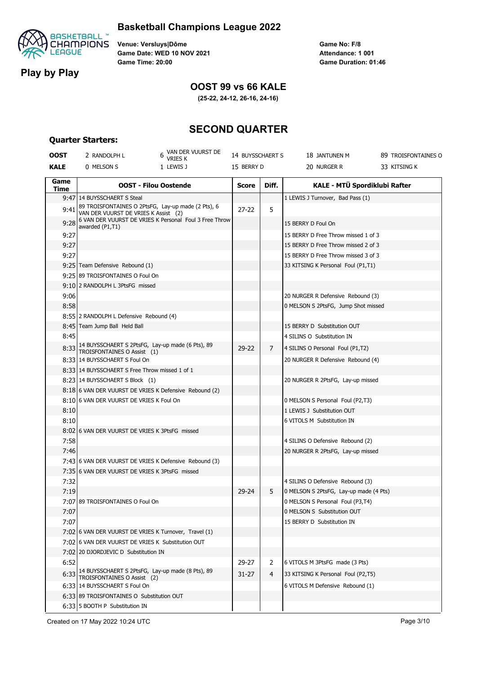

**Quarter Starters:**

#### **Basketball Champions League 2022**

**Venue: Versluys|Dôme Game Date: WED 10 NOV 2021 Game Time: 20:00**

**Game No: F/8 Game Duration: 01:46 Attendance: 1 001**

### **Play by Play**

#### **OOST 99 vs 66 KALE**

**(25-22, 24-12, 26-16, 24-16)**

### **SECOND QUARTER**

#### **OOST** 2 RANDOLPH L 6 VAN DER VUURST DE VRIES K 14 BUYSSCHAERT S 18 JANTUNEN M 89 TROISFONTAINES O **KALE** 0 MELSON S 1 LEWIS J 15 BERRY D 20 NURGER R 33 KITSING K **Game Time OOST - Filou Oostende Score Diff. KALE - MTÜ Spordiklubi Rafter** 9:47 14 BUYSSCHAERT S Steal 1 LEWIS J Turnover, Bad Pass (1) 9:41 89 TROISFONTAINES O 2PtsFG, Lay-up made (2 Pts), 6 VAN DER VUURST DE VRIES K Assist (2)  $27-22$  5 9:28 6 VAN DER VUURST DE VRIES K Personal Foul 3 Free Throw awarded (P1,T1) 15 BERRY D Foul On 9:27 15 BERRY D Free Throw missed 1 of 3 9:27 15 BERRY D Free Throw missed 2 of 3 9:27 15 BERRY D Free Throw missed 3 of 3 9:25 Team Defensive Rebound (1) **19:25 Team Defensive Rebound (1)** 33 KITSING K Personal Foul (P1,T1) 9:25 89 TROISFONTAINES O Foul On 9:10 2 RANDOLPH L 3PtsFG missed 9:06 20 NURGER R Defensive Rebound (3) 8:58 0 MELSON S 2PtsFG, Jump Shot missed 8:55 2 RANDOLPH L Defensive Rebound (4) 8:45 Team Jump Ball Held Ball 15 BERRY D Substitution OUT 8:45 4 SILINS O Substitution IN 8:33 14 BUYSSCHAERT S 2PtsFG, Lay-up made (6 Pts), 89 TROISFONTAINES O Assist (1) 29-22 7 4 SILINS O Personal Foul (P1,T2) 8:33 14 BUYSSCHAERT S Foul On 20 NURGER R Defensive Rebound (4) 8:33 14 BUYSSCHAERT S Free Throw missed 1 of 1 8:23 14 BUYSSCHAERT S Block (1) 20 NURGER R 2PtsFG, Lay-up missed 8:18 6 VAN DER VUURST DE VRIES K Defensive Rebound (2) 8:10 6 VAN DER VUURST DE VRIES K Foul On 0 MELSON S Personal Foul (P2,T3) 8:10 1 LEWIS J Substitution OUT 8:10 6 VITOLS M Substitution IN 8:02 6 VAN DER VUURST DE VRIES K 3PtsFG missed 7:58 4 SILINS O Defensive Rebound (2) 7:46 20 NURGER R 2PtsFG, Lay-up missed 7:43 6 VAN DER VUURST DE VRIES K Defensive Rebound (3) 7:35 6 VAN DER VUURST DE VRIES K 3PtsFG missed 7:32 4 SILINS O Defensive Rebound (3) 7:19 29-24 3 0 MELSON S 2PtsFG, Lay-up made (4 Pts) 7:07 89 TROISFONTAINES O Foul On 0 0 MELSON S Personal Foul (P3,T4) 7:07 0 MELSON S Substitution OUT 7:07 15 BERRY D Substitution IN 7:02 6 VAN DER VUURST DE VRIES K Turnover, Travel (1) 7:02 6 VAN DER VUURST DE VRIES K Substitution OUT 7:02 20 DJORDJEVIC D Substitution IN 6:52 **29-27 2 6 VITOLS M 3PtsFG** made (3 Pts) 6:33 14 BUYSSCHAERT S 2PtsFG, Lay-up made (8 Pts), 89 TROISFONTAINES O Assist (2) 31-27 4 33 KITSING K Personal Foul (P2,T5) 6:33 14 BUYSSCHAERT S Foul On 6 VITOLS M Defensive Rebound (1) 6:33 89 TROISFONTAINES O Substitution OUT 6:33 5 BOOTH P Substitution IN

Created on 17 May 2022 10:24 UTC Page 3/10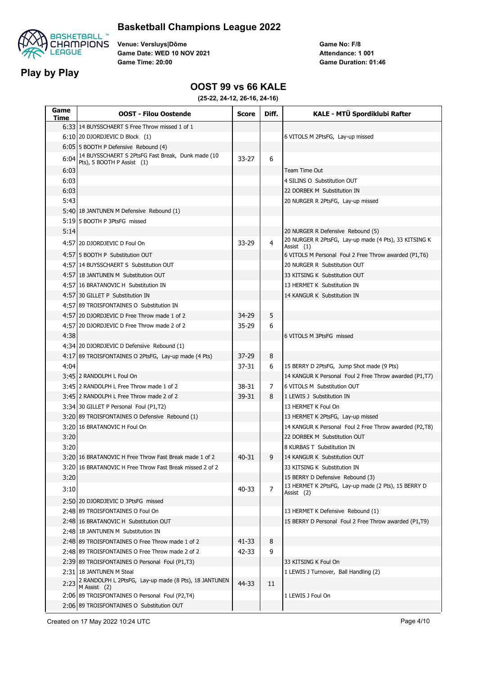

#### **Basketball Champions League 2022**

**Venue: Versluys|Dôme Game Date: WED 10 NOV 2021 Game Time: 20:00**

**Game No: F/8 Game Duration: 01:46 Attendance: 1 001**

#### **OOST 99 vs 66 KALE**

**(25-22, 24-12, 26-16, 24-16)**

| Game<br>Time | <b>OOST - Filou Oostende</b>                                                           | <b>Score</b> | Diff.          | KALE - MTÜ Spordiklubi Rafter                                       |
|--------------|----------------------------------------------------------------------------------------|--------------|----------------|---------------------------------------------------------------------|
|              | 6:33 14 BUYSSCHAERT S Free Throw missed 1 of 1                                         |              |                |                                                                     |
|              | 6:10 20 DJORDJEVIC D Block (1)                                                         |              |                | 6 VITOLS M 2PtsFG, Lay-up missed                                    |
|              | 6:05 5 BOOTH P Defensive Rebound (4)                                                   |              |                |                                                                     |
| 6:04         | 14 BUYSSCHAERT S 2PtsFG Fast Break, Dunk made (10<br>Pts), 5 BOOTH P Assist (1)        | $33 - 27$    | 6              |                                                                     |
| 6:03         |                                                                                        |              |                | Team Time Out                                                       |
| 6:03         |                                                                                        |              |                | 4 SILINS O Substitution OUT                                         |
| 6:03         |                                                                                        |              |                | 22 DORBEK M Substitution IN                                         |
| 5:43         |                                                                                        |              |                | 20 NURGER R 2PtsFG, Lay-up missed                                   |
|              | 5:40 18 JANTUNEN M Defensive Rebound (1)                                               |              |                |                                                                     |
|              | 5:1915 BOOTH P 3PtsFG missed                                                           |              |                |                                                                     |
| 5:14         |                                                                                        |              |                | 20 NURGER R Defensive Rebound (5)                                   |
|              | 4:57 20 DJORDJEVIC D Foul On                                                           | 33-29        | 4              | 20 NURGER R 2PtsFG, Lay-up made (4 Pts), 33 KITSING K<br>Assist (1) |
|              | 4:5715 BOOTH P Substitution OUT                                                        |              |                | 6 VITOLS M Personal Foul 2 Free Throw awarded (P1,T6)               |
|              | 4:57 14 BUYSSCHAERT S Substitution OUT                                                 |              |                | 20 NURGER R Substitution OUT                                        |
|              | 4:57 18 JANTUNEN M Substitution OUT                                                    |              |                | 33 KITSING K Substitution OUT                                       |
|              | 4:57 16 BRATANOVIC H Substitution IN                                                   |              |                | 13 HERMET K Substitution IN                                         |
|              | 4:57 30 GILLET P Substitution IN                                                       |              |                | 14 KANGUR K Substitution IN                                         |
|              | 4:57 89 TROISFONTAINES O Substitution IN                                               |              |                |                                                                     |
|              | 4:57120 DJORDJEVIC D Free Throw made 1 of 2                                            | 34-29        | 5              |                                                                     |
|              | 4:57 20 DJORDJEVIC D Free Throw made 2 of 2                                            | $35 - 29$    | 6              |                                                                     |
| 4:38         |                                                                                        |              |                | 6 VITOLS M 3PtsFG missed                                            |
|              | 4:34 20 DJORDJEVIC D Defensive Rebound (1)                                             |              |                |                                                                     |
|              | 4:17 89 TROISFONTAINES O 2PtsFG, Lay-up made (4 Pts)                                   | $37 - 29$    | 8              |                                                                     |
| 4:04         |                                                                                        | 37-31        | 6              | 15 BERRY D 2PtsFG, Jump Shot made (9 Pts)                           |
|              | 3:45 2 RANDOLPH L Foul On                                                              |              |                | 14 KANGUR K Personal Foul 2 Free Throw awarded (P1,T7)              |
|              | 3:45 2 RANDOLPH L Free Throw made 1 of 2                                               | 38-31        | 7              | 6 VITOLS M Substitution OUT                                         |
|              | 3:45 2 RANDOLPH L Free Throw made 2 of 2                                               | 39-31        | 8              | 1 LEWIS J Substitution IN                                           |
|              | 3:34 30 GILLET P Personal Foul (P1,T2)                                                 |              |                | 13 HERMET K Foul On                                                 |
|              | 3:20189 TROISFONTAINES O Defensive Rebound (1)                                         |              |                | 13 HERMET K 2PtsFG, Lay-up missed                                   |
|              | 3:20 16 BRATANOVIC H Foul On                                                           |              |                | 14 KANGUR K Personal Foul 2 Free Throw awarded (P2,T8)              |
| 3:20         |                                                                                        |              |                | 22 DORBEK M Substitution OUT                                        |
| 3:20         |                                                                                        |              |                | 8 KURBAS T Substitution IN                                          |
|              | 3:20116 BRATANOVIC H Free Throw Fast Break made 1 of 2                                 | 40-31        | 9              | 14 KANGUR K Substitution OUT                                        |
|              | 3:20 16 BRATANOVIC H Free Throw Fast Break missed 2 of 2                               |              |                | 33 KITSING K Substitution IN                                        |
| 3:20         |                                                                                        |              |                | 15 BERRY D Defensive Rebound (3)                                    |
| 3:10         |                                                                                        | 40-33        | $\overline{7}$ | 13 HERMET K 2PtsFG, Lay-up made (2 Pts), 15 BERRY D                 |
|              |                                                                                        |              |                | Assist (2)                                                          |
|              | 2:50 20 DJORDJEVIC D 3PtsFG missed                                                     |              |                |                                                                     |
|              | 2:48 89 TROISFONTAINES O Foul On                                                       |              |                | 13 HERMET K Defensive Rebound (1)                                   |
|              | 2:48 16 BRATANOVIC H Substitution OUT                                                  |              |                | 15 BERRY D Personal Foul 2 Free Throw awarded (P1,T9)               |
|              | 2:48 18 JANTUNEN M Substitution IN                                                     |              |                |                                                                     |
|              | 2:48 89 TROISFONTAINES O Free Throw made 1 of 2                                        | 41-33        | 8              |                                                                     |
|              | 2:48 89 TROISFONTAINES O Free Throw made 2 of 2                                        | 42-33        | 9              |                                                                     |
|              | 2:39 89 TROISFONTAINES O Personal Foul (P1,T3)                                         |              |                | 33 KITSING K Foul On                                                |
|              | 2:31 18 JANTUNEN M Steal<br>2:23 2 RANDOLPH L 2PtsFG, Lay-up made (8 Pts), 18 JANTUNEN |              |                | 1 LEWIS J Turnover, Ball Handling (2)                               |
|              | M Assist (2)                                                                           | 44-33        | 11             |                                                                     |
|              | 2:06 89 TROISFONTAINES O Personal Foul (P2,T4)                                         |              |                | 1 LEWIS J Foul On                                                   |
|              | 2:06 89 TROISFONTAINES O Substitution OUT                                              |              |                |                                                                     |

Created on 17 May 2022 10:24 UTC **Page 4/10**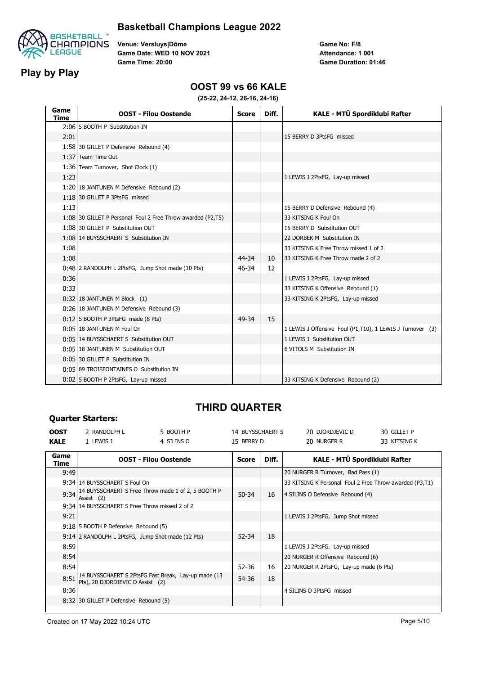

#### **Basketball Champions League 2022**

**Venue: Versluys|Dôme Game Date: WED 10 NOV 2021 Game Time: 20:00**

**Game No: F/8 Game Duration: 01:46 Attendance: 1 001**

#### **OOST 99 vs 66 KALE**

**(25-22, 24-12, 26-16, 24-16)**

| Game<br>Time | <b>OOST - Filou Oostende</b>                                | <b>Score</b> | Diff. | KALE - MTÜ Spordiklubi Rafter                             |
|--------------|-------------------------------------------------------------|--------------|-------|-----------------------------------------------------------|
|              | 2:06 5 BOOTH P Substitution IN                              |              |       |                                                           |
| 2:01         |                                                             |              |       | 15 BERRY D 3PtsFG missed                                  |
|              | 1:58 30 GILLET P Defensive Rebound (4)                      |              |       |                                                           |
|              | 1:37 Team Time Out                                          |              |       |                                                           |
|              | 1:36 Team Turnover, Shot Clock (1)                          |              |       |                                                           |
| 1:23         |                                                             |              |       | 1 LEWIS J 2PtsFG, Lay-up missed                           |
|              | 1:20 18 JANTUNEN M Defensive Rebound (2)                    |              |       |                                                           |
|              | 1:18 30 GILLET P 3PtsFG missed                              |              |       |                                                           |
| 1:13         |                                                             |              |       | 15 BERRY D Defensive Rebound (4)                          |
|              | 1:08 30 GILLET P Personal Foul 2 Free Throw awarded (P2,T5) |              |       | 33 KITSING K Foul On                                      |
|              | 1:08 30 GILLET P Substitution OUT                           |              |       | 15 BERRY D Substitution OUT                               |
|              | 1:08 14 BUYSSCHAERT S Substitution IN                       |              |       | 22 DORBEK M Substitution IN                               |
| 1:08         |                                                             |              |       | 33 KITSING K Free Throw missed 1 of 2                     |
| 1:08         |                                                             | 44-34        | 10    | 33 KITSING K Free Throw made 2 of 2                       |
|              | 0:48 2 RANDOLPH L 2PtsFG, Jump Shot made (10 Pts)           | 46-34        | 12    |                                                           |
| 0:36         |                                                             |              |       | 1 LEWIS J 2PtsFG, Lay-up missed                           |
| 0:33         |                                                             |              |       | 33 KITSING K Offensive Rebound (1)                        |
|              | $0:32$ 18 JANTUNEN M Block (1)                              |              |       | 33 KITSING K 2PtsFG, Lay-up missed                        |
|              | 0:26 18 JANTUNEN M Defensive Rebound (3)                    |              |       |                                                           |
|              | 0:12 5 BOOTH P 3PtsFG made (8 Pts)                          | 49-34        | 15    |                                                           |
|              | 0:05 18 JANTUNEN M Foul On                                  |              |       | 1 LEWIS J Offensive Foul (P1,T10), 1 LEWIS J Turnover (3) |
|              | 0:05 14 BUYSSCHAERT S Substitution OUT                      |              |       | 1 LEWIS J Substitution OUT                                |
|              | 0:05 18 JANTUNEN M Substitution OUT                         |              |       | 6 VITOLS M Substitution IN                                |
|              | 0:05 30 GILLET P Substitution IN                            |              |       |                                                           |
|              | 0:05 89 TROISFONTAINES O Substitution IN                    |              |       |                                                           |
|              | 0:02 5 BOOTH P 2PtsFG, Lay-up missed                        |              |       | 33 KITSING K Defensive Rebound (2)                        |

## **THIRD QUARTER**

| <b>KALE</b><br>15 BERRY D<br>33 KITSING K<br>1 LEWIS J<br>4 SILINS O<br>20 NURGER R                                          |  |
|------------------------------------------------------------------------------------------------------------------------------|--|
| Game<br>KALE - MTÜ Spordiklubi Rafter<br>Diff.<br><b>OOST - Filou Oostende</b><br><b>Score</b><br>Time                       |  |
| 9:49<br>20 NURGER R Turnover, Bad Pass (1)                                                                                   |  |
| 9:34 14 BUYSSCHAERT S Foul On<br>33 KITSING K Personal Foul 2 Free Throw awarded (P3,T1)                                     |  |
| 9:34 14 BUYSSCHAERT S Free Throw made 1 of 2, 5 BOOTH P<br>$50 - 34$<br>16<br>4 SILINS O Defensive Rebound (4)<br>Assist (2) |  |
| 9:34 14 BUYSSCHAERT S Free Throw missed 2 of 2                                                                               |  |
| 9:21<br>1 LEWIS J 2PtsFG, Jump Shot missed                                                                                   |  |
| 9:18 5 BOOTH P Defensive Rebound (5)                                                                                         |  |
| 18<br>52-34<br>9:14 2 RANDOLPH L 2PtsFG, Jump Shot made (12 Pts)                                                             |  |
| 8:59<br>1 LEWIS J 2PtsFG, Lay-up missed                                                                                      |  |
| 8:54<br>20 NURGER R Offensive Rebound (6)                                                                                    |  |
| 8:54<br>52-36<br>16<br>20 NURGER R 2PtsFG, Lay-up made (6 Pts)                                                               |  |
| 14 BUYSSCHAERT S 2PtsFG Fast Break, Lay-up made (13<br>8:51<br>18<br>54-36<br>Pts), 20 DJORDJEVIC D Assist (2)               |  |
| 8:36<br>4 SILINS O 3PtsFG missed                                                                                             |  |
| 8:32 30 GILLET P Defensive Rebound (5)                                                                                       |  |

**Quarter Starters:**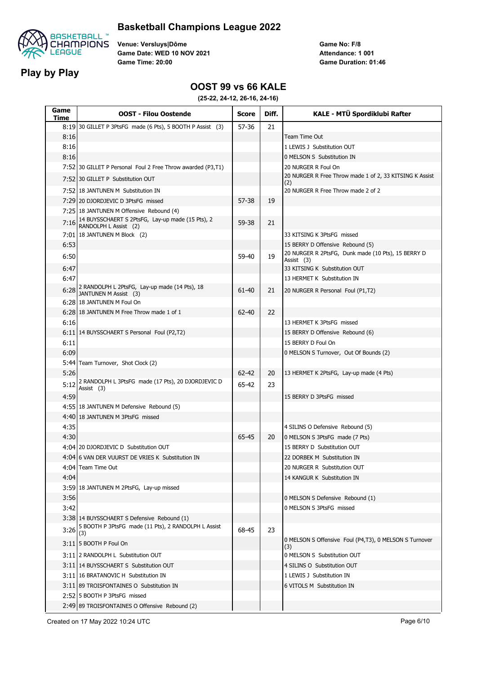

#### **Basketball Champions League 2022**

**Venue: Versluys|Dôme Game Date: WED 10 NOV 2021 Game Time: 20:00**

**Game No: F/8 Game Duration: 01:46 Attendance: 1 001**

#### **OOST 99 vs 66 KALE**

**(25-22, 24-12, 26-16, 24-16)**

| Game<br>Time | <b>OOST - Filou Oostende</b>                                              | <b>Score</b> | Diff. | KALE - MTÜ Spordiklubi Rafter                                    |
|--------------|---------------------------------------------------------------------------|--------------|-------|------------------------------------------------------------------|
|              | 8:19 30 GILLET P 3PtsFG made (6 Pts), 5 BOOTH P Assist (3)                | 57-36        | 21    |                                                                  |
| 8:16         |                                                                           |              |       | Team Time Out                                                    |
| 8:16         |                                                                           |              |       | 1 LEWIS J Substitution OUT                                       |
| 8:16         |                                                                           |              |       | 0 MELSON S Substitution IN                                       |
|              | 7:52 30 GILLET P Personal Foul 2 Free Throw awarded (P3,T1)               |              |       | 20 NURGER R Foul On                                              |
|              | 7:52 30 GILLET P Substitution OUT                                         |              |       | 20 NURGER R Free Throw made 1 of 2, 33 KITSING K Assist<br>(2)   |
|              | 7:52 18 JANTUNEN M Substitution IN                                        |              |       | 20 NURGER R Free Throw made 2 of 2                               |
|              | 7:29 20 DJORDJEVIC D 3PtsFG missed                                        | 57-38        | 19    |                                                                  |
|              | 7:25 18 JANTUNEN M Offensive Rebound (4)                                  |              |       |                                                                  |
| 7:16         | 14 BUYSSCHAERT S 2PtsFG, Lay-up made (15 Pts), 2<br>RANDOLPH L Assist (2) | 59-38        | 21    |                                                                  |
|              | 7:01 18 JANTUNEN M Block (2)                                              |              |       | 33 KITSING K 3PtsFG missed                                       |
| 6:53         |                                                                           |              |       | 15 BERRY D Offensive Rebound (5)                                 |
| 6:50         |                                                                           | 59-40        | 19    | 20 NURGER R 2PtsFG, Dunk made (10 Pts), 15 BERRY D<br>Assist (3) |
| 6:47         |                                                                           |              |       | 33 KITSING K Substitution OUT                                    |
| 6:47         |                                                                           |              |       | 13 HERMET K Substitution IN                                      |
| 6:28         | 2 RANDOLPH L 2PtsFG, Lay-up made (14 Pts), 18<br>JANTUNEN M Assist (3)    | 61-40        | 21    | 20 NURGER R Personal Foul (P1,T2)                                |
|              | 6:28 18 JANTUNEN M Foul On                                                |              |       |                                                                  |
|              | 6:28 18 JANTUNEN M Free Throw made 1 of 1                                 | 62-40        | 22    |                                                                  |
| 6:16         |                                                                           |              |       | 13 HERMET K 3PtsFG missed                                        |
|              | 6:11 14 BUYSSCHAERT S Personal Foul (P2,T2)                               |              |       | 15 BERRY D Offensive Rebound (6)                                 |
| 6:11         |                                                                           |              |       | 15 BERRY D Foul On                                               |
| 6:09         |                                                                           |              |       | 0 MELSON S Turnover, Out Of Bounds (2)                           |
|              | 5:44 Team Turnover, Shot Clock (2)                                        |              |       |                                                                  |
| 5:26         |                                                                           | $62 - 42$    | 20    | 13 HERMET K 2PtsFG, Lay-up made (4 Pts)                          |
| 5:12         | 2 RANDOLPH L 3PtsFG made (17 Pts), 20 DJORDJEVIC D<br>Assist (3)          | 65-42        | 23    |                                                                  |
| 4:59         |                                                                           |              |       | 15 BERRY D 3PtsFG missed                                         |
|              | 4:55 18 JANTUNEN M Defensive Rebound (5)                                  |              |       |                                                                  |
|              | 4:40 18 JANTUNEN M 3PtsFG missed                                          |              |       |                                                                  |
| 4:35         |                                                                           |              |       | 4 SILINS O Defensive Rebound (5)                                 |
| 4:30         |                                                                           | 65-45        | 20    | 0 MELSON S 3PtsFG made (7 Pts)                                   |
|              | 4:04 20 DJORDJEVIC D Substitution OUT                                     |              |       | 15 BERRY D Substitution OUT                                      |
|              | 4:04 6 VAN DER VUURST DE VRIES K Substitution IN                          |              |       | 22 DORBEK M Substitution IN                                      |
|              | 4:04 Team Time Out                                                        |              |       | 20 NURGER R Substitution OUT                                     |
| 4:04         |                                                                           |              |       | 14 KANGUR K Substitution IN                                      |
|              | 3:59 18 JANTUNEN M 2PtsFG, Lay-up missed                                  |              |       |                                                                  |
| 3:56         |                                                                           |              |       | 0 MELSON S Defensive Rebound (1)                                 |
| 3:42         |                                                                           |              |       | 0 MELSON S 3PtsFG missed                                         |
|              | 3:38 14 BUYSSCHAERT S Defensive Rebound (1)                               |              |       |                                                                  |
|              | $3:26$ 5 BOOTH P 3PtsFG made (11 Pts), 2 RANDOLPH L Assist<br>(3)         | 68-45        | 23    |                                                                  |
|              | 3:11 5 BOOTH P Foul On                                                    |              |       | 0 MELSON S Offensive Foul (P4,T3), 0 MELSON S Turnover<br>(3)    |
|              | 3:11 2 RANDOLPH L Substitution OUT                                        |              |       | 0 MELSON S Substitution OUT                                      |
|              | 3:11 14 BUYSSCHAERT S Substitution OUT                                    |              |       | 4 SILINS O Substitution OUT                                      |
|              | 3:11 16 BRATANOVIC H Substitution IN                                      |              |       | 1 LEWIS J Substitution IN                                        |
|              | 3:11 89 TROISFONTAINES O Substitution IN                                  |              |       | 6 VITOLS M Substitution IN                                       |
|              | 2:52 5 BOOTH P 3PtsFG missed                                              |              |       |                                                                  |
|              | 2:49 89 TROISFONTAINES O Offensive Rebound (2)                            |              |       |                                                                  |

Created on 17 May 2022 10:24 UTC **Page 6/10**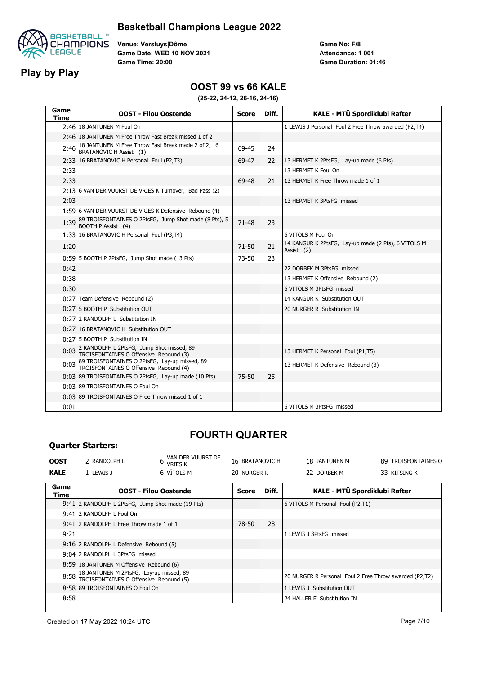

#### **Basketball Champions League 2022**

**Venue: Versluys|Dôme Game Date: WED 10 NOV 2021 Game Time: 20:00**

**Game No: F/8 Game Duration: 01:46 Attendance: 1 001**

#### **OOST 99 vs 66 KALE**

**(25-22, 24-12, 26-16, 24-16)**

| Game<br><b>Time</b> | <b>OOST - Filou Oostende</b>                                                             | <b>Score</b> | Diff. | KALE - MTÜ Spordiklubi Rafter                                     |
|---------------------|------------------------------------------------------------------------------------------|--------------|-------|-------------------------------------------------------------------|
|                     | 2:46 18 JANTUNEN M Foul On                                                               |              |       | 1 LEWIS J Personal Foul 2 Free Throw awarded (P2,T4)              |
|                     | 2:46 18 JANTUNEN M Free Throw Fast Break missed 1 of 2                                   |              |       |                                                                   |
|                     | 2:46 18 JANTUNEN M Free Throw Fast Break made 2 of 2, 16<br>BRATANOVIC H Assist (1)      | 69-45        | 24    |                                                                   |
|                     | 2:33 16 BRATANOVIC H Personal Foul (P2,T3)                                               | 69-47        | 22    | 13 HERMET K 2PtsFG, Lay-up made (6 Pts)                           |
| 2:33                |                                                                                          |              |       | 13 HERMET K Foul On                                               |
| 2:33                |                                                                                          | 69-48        | 21    | 13 HERMET K Free Throw made 1 of 1                                |
|                     | 2:13 6 VAN DER VUURST DE VRIES K Turnover, Bad Pass (2)                                  |              |       |                                                                   |
| 2:03                |                                                                                          |              |       | 13 HERMET K 3PtsFG missed                                         |
|                     | 1:59 6 VAN DER VUURST DE VRIES K Defensive Rebound (4)                                   |              |       |                                                                   |
|                     | 1:39 89 TROISFONTAINES O 2PtsFG, Jump Shot made (8 Pts), 5<br>BOOTH P Assist (4)         | 71-48        | 23    |                                                                   |
|                     | 1:33 16 BRATANOVIC H Personal Foul (P3,T4)                                               |              |       | 6 VITOLS M Foul On                                                |
| 1:20                |                                                                                          | $71 - 50$    | 21    | 14 KANGUR K 2PtsFG, Lay-up made (2 Pts), 6 VITOLS M<br>Assist (2) |
|                     | 0:59 5 BOOTH P 2PtsFG, Jump Shot made (13 Pts)                                           | 73-50        | 23    |                                                                   |
| 0:42                |                                                                                          |              |       | 22 DORBEK M 3PtsFG missed                                         |
| 0:38                |                                                                                          |              |       | 13 HERMET K Offensive Rebound (2)                                 |
| 0:30                |                                                                                          |              |       | 6 VITOLS M 3PtsFG missed                                          |
|                     | 0:27 Team Defensive Rebound (2)                                                          |              |       | 14 KANGUR K Substitution OUT                                      |
|                     | 0:27 5 BOOTH P Substitution OUT                                                          |              |       | 20 NURGER R Substitution IN                                       |
|                     | 0:27 2 RANDOLPH L Substitution IN                                                        |              |       |                                                                   |
|                     | 0:27 16 BRATANOVIC H Substitution OUT                                                    |              |       |                                                                   |
|                     | 0:27 5 BOOTH P Substitution IN                                                           |              |       |                                                                   |
|                     | 0:03 2 RANDOLPH L 2PtsFG, Jump Shot missed, 89<br>TROISFONTAINES O Offensive Rebound (3) |              |       | 13 HERMET K Personal Foul (P1,T5)                                 |
| 0:03                | 89 TROISFONTAINES O 2PtsFG, Lay-up missed, 89<br>TROISFONTAINES O Offensive Rebound (4)  |              |       | 13 HERMET K Defensive Rebound (3)                                 |
|                     | 0:03 89 TROISFONTAINES O 2PtsFG, Lay-up made (10 Pts)                                    | $75 - 50$    | 25    |                                                                   |
|                     | 0:03 89 TROISFONTAINES O Foul On                                                         |              |       |                                                                   |
|                     | 0:03 89 TROISFONTAINES O Free Throw missed 1 of 1                                        |              |       |                                                                   |
| 0:01                |                                                                                          |              |       | 6 VITOLS M 3PtsFG missed                                          |

# **FOURTH QUARTER**

| <b>OOST</b>  | 2 RANDOLPH L                                                                           | VAN DER VUURST DE<br>6<br>vries k | 16 BRATANOVIC H |       | 18 JANTUNEN M                                          | 89 TROISFONTAINES C |
|--------------|----------------------------------------------------------------------------------------|-----------------------------------|-----------------|-------|--------------------------------------------------------|---------------------|
| <b>KALE</b>  | 1 LEWIS J                                                                              | 6 VĪTOLS M                        | 20 NURGER R     |       | 22 DORBEK M                                            | 33 KITSING K        |
| Game<br>Time |                                                                                        | <b>OOST - Filou Oostende</b>      | <b>Score</b>    | Diff. | KALE - MTÜ Spordiklubi Rafter                          |                     |
|              | 9:41 2 RANDOLPH L 2PtsFG, Jump Shot made (19 Pts)                                      |                                   |                 |       | 6 VITOLS M Personal Foul (P2,T1)                       |                     |
|              | 9:41 2 RANDOLPH L Foul On                                                              |                                   |                 |       |                                                        |                     |
|              | 9:41 2 RANDOLPH L Free Throw made 1 of 1                                               |                                   | 78-50           | 28    |                                                        |                     |
| 9:21         |                                                                                        |                                   |                 |       | 1 LEWIS J 3PtsFG missed                                |                     |
|              | 9:16 2 RANDOLPH L Defensive Rebound (5)                                                |                                   |                 |       |                                                        |                     |
|              | 9:04 2 RANDOLPH L 3PtsFG missed                                                        |                                   |                 |       |                                                        |                     |
|              | 8:59 18 JANTUNEN M Offensive Rebound (6)                                               |                                   |                 |       |                                                        |                     |
|              | 8:58 18 JANTUNEN M 2PtsFG, Lay-up missed, 89<br>TROISFONTAINES O Offensive Rebound (5) |                                   |                 |       | 20 NURGER R Personal Foul 2 Free Throw awarded (P2,T2) |                     |
|              | 8:58 89 TROISFONTAINES O Foul On                                                       |                                   |                 |       | 1 LEWIS J Substitution OUT                             |                     |
| 8:58         |                                                                                        |                                   |                 |       | 24 HALLER E Substitution IN                            |                     |

**Quarter Starters:**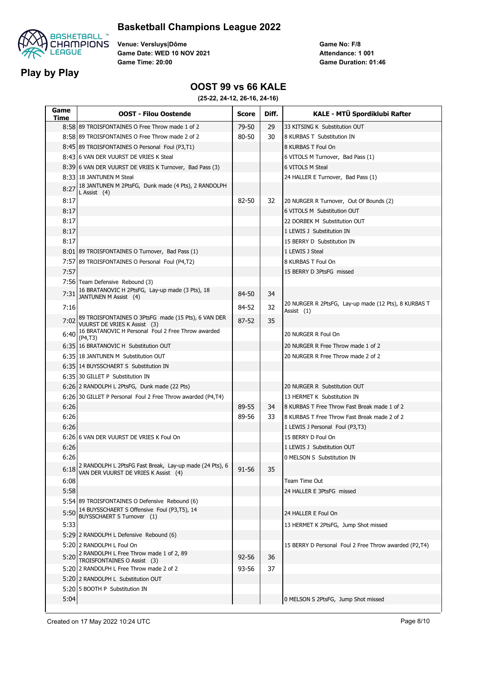

#### **Basketball Champions League 2022**

**Venue: Versluys|Dôme Game Date: WED 10 NOV 2021 Game Time: 20:00**

**Game No: F/8 Game Duration: 01:46 Attendance: 1 001**

#### **OOST 99 vs 66 KALE**

| Game<br>Time | <b>OOST - Filou Oostende</b>                                                                    | <b>Score</b> | Diff. | KALE - MTÜ Spordiklubi Rafter                                      |
|--------------|-------------------------------------------------------------------------------------------------|--------------|-------|--------------------------------------------------------------------|
|              | 8:58 89 TROISFONTAINES O Free Throw made 1 of 2                                                 | 79-50        | 29    | 33 KITSING K Substitution OUT                                      |
|              | 8:58 89 TROISFONTAINES O Free Throw made 2 of 2                                                 | 80-50        | 30    | 8 KURBAS T Substitution IN                                         |
|              | 8:45 89 TROISFONTAINES O Personal Foul (P3,T1)                                                  |              |       | 8 KURBAS T Foul On                                                 |
|              | 8:43 6 VAN DER VUURST DE VRIES K Steal                                                          |              |       | 6 VITOLS M Turnover, Bad Pass (1)                                  |
|              | 8:39 6 VAN DER VUURST DE VRIES K Turnover, Bad Pass (3)                                         |              |       | 6 VITOLS M Steal                                                   |
|              | 8:33 18 JANTUNEN M Steal                                                                        |              |       | 24 HALLER E Turnover, Bad Pass (1)                                 |
| 8:27         | 18 JANTUNEN M 2PtsFG, Dunk made (4 Pts), 2 RANDOLPH<br>L Assist (4)                             |              |       |                                                                    |
| 8:17         |                                                                                                 | 82-50        | 32    | 20 NURGER R Turnover, Out Of Bounds (2)                            |
| 8:17         |                                                                                                 |              |       | 6 VITOLS M Substitution OUT                                        |
| 8:17         |                                                                                                 |              |       | 22 DORBEK M Substitution OUT                                       |
| 8:17         |                                                                                                 |              |       | 1 LEWIS J Substitution IN                                          |
| 8:17         |                                                                                                 |              |       | 15 BERRY D Substitution IN                                         |
|              | 8:01 89 TROISFONTAINES O Turnover, Bad Pass (1)                                                 |              |       | 1 LEWIS J Steal                                                    |
|              | 7:57 89 TROISFONTAINES O Personal Foul (P4,T2)                                                  |              |       | 8 KURBAS T Foul On                                                 |
| 7:57         |                                                                                                 |              |       | 15 BERRY D 3PtsFG missed                                           |
|              | 7:56 Team Defensive Rebound (3)                                                                 |              |       |                                                                    |
| 7:31         | 16 BRATANOVIC H 2PtsFG, Lay-up made (3 Pts), 18<br>JANTUNEN M Assist (4)                        | 84-50        | 34    |                                                                    |
| 7:16         |                                                                                                 | 84-52        | 32    | 20 NURGER R 2PtsFG, Lay-up made (12 Pts), 8 KURBAS T<br>Assist (1) |
| 7:02         | 89 TROISFONTAINES O 3PtsFG made (15 Pts), 6 VAN DER<br>VUURST DE VRIES K Assist (3)             | 87-52        | 35    |                                                                    |
| 6:40         | 16 BRATANOVIC H Personal Foul 2 Free Throw awarded<br>(P4, T3)                                  |              |       | 20 NURGER R Foul On                                                |
|              | 6:35 16 BRATANOVIC H Substitution OUT                                                           |              |       | 20 NURGER R Free Throw made 1 of 2                                 |
|              | 6:35 18 JANTUNEN M Substitution OUT                                                             |              |       | 20 NURGER R Free Throw made 2 of 2                                 |
|              | 6:35 14 BUYSSCHAERT S Substitution IN                                                           |              |       |                                                                    |
|              | 6:35 30 GILLET P Substitution IN                                                                |              |       |                                                                    |
|              | 6:26 2 RANDOLPH L 2PtsFG, Dunk made (22 Pts)                                                    |              |       | 20 NURGER R Substitution OUT                                       |
|              | 6:26 30 GILLET P Personal Foul 2 Free Throw awarded (P4,T4)                                     |              |       | 13 HERMET K Substitution IN                                        |
| 6:26         |                                                                                                 | 89-55        | 34    | 8 KURBAS T Free Throw Fast Break made 1 of 2                       |
| 6:26         |                                                                                                 | 89-56        | 33    | 8 KURBAS T Free Throw Fast Break made 2 of 2                       |
| 6:26         |                                                                                                 |              |       | 1 LEWIS J Personal Foul (P3,T3)                                    |
|              | 6:26 6 VAN DER VUURST DE VRIES K Foul On                                                        |              |       | 15 BERRY D Foul On                                                 |
| 6:26         |                                                                                                 |              |       | 1 LEWIS J Substitution OUT                                         |
| 6:26         |                                                                                                 |              |       | 0 MELSON S Substitution IN                                         |
| 6:18         | 2 RANDOLPH L 2PtsFG Fast Break, Lay-up made (24 Pts), 6<br>VAN DER VUURST DE VRIES K Assist (4) | 91-56        | 35    |                                                                    |
| 6:08         |                                                                                                 |              |       | Team Time Out                                                      |
| 5:58         |                                                                                                 |              |       | 24 HALLER E 3PtsFG missed                                          |
|              | 5:54 89 TROISFONTAINES O Defensive Rebound (6)                                                  |              |       |                                                                    |
| 5:50         | 14 BUYSSCHAERT S Offensive Foul (P3,T5), 14<br>BUYSSCHAERT S Turnover (1)                       |              |       | 24 HALLER E Foul On                                                |
| 5:33         |                                                                                                 |              |       | 13 HERMET K 2PtsFG, Jump Shot missed                               |
|              | 5:29 2 RANDOLPH L Defensive Rebound (6)                                                         |              |       |                                                                    |
|              | 5:20 2 RANDOLPH L Foul On                                                                       |              |       | 15 BERRY D Personal Foul 2 Free Throw awarded (P2,T4)              |
| 5:20         | 2 RANDOLPH L Free Throw made 1 of 2, 89<br>TROISFONTAINES O Assist (3)                          | 92-56        | 36    |                                                                    |
|              | 5:20 2 RANDOLPH L Free Throw made 2 of 2                                                        | 93-56        | 37    |                                                                    |
|              | 5:20 2 RANDOLPH L Substitution OUT                                                              |              |       |                                                                    |
|              | 5:20 5 BOOTH P Substitution IN                                                                  |              |       |                                                                    |
| 5:04         |                                                                                                 |              |       | 0 MELSON S 2PtsFG, Jump Shot missed                                |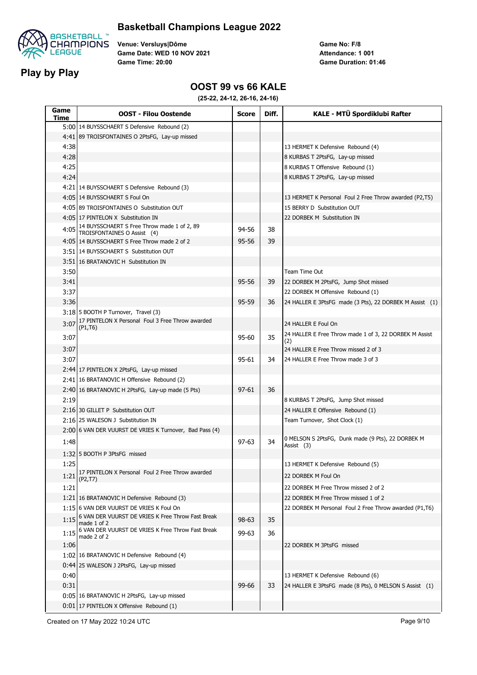

#### **Basketball Champions League 2022**

**Venue: Versluys|Dôme Game Date: WED 10 NOV 2021 Game Time: 20:00**

**Game No: F/8 Game Duration: 01:46 Attendance: 1 001**

#### **OOST 99 vs 66 KALE**

| Game<br>Time | <b>OOST - Filou Oostende</b>                                                           | <b>Score</b> | Diff. | KALE - MTÜ Spordiklubi Rafter                                   |
|--------------|----------------------------------------------------------------------------------------|--------------|-------|-----------------------------------------------------------------|
|              | 5:00 14 BUYSSCHAERT S Defensive Rebound (2)                                            |              |       |                                                                 |
|              | 4:41 89 TROISFONTAINES O 2PtsFG, Lay-up missed                                         |              |       |                                                                 |
| 4:38         |                                                                                        |              |       | 13 HERMET K Defensive Rebound (4)                               |
| 4:28         |                                                                                        |              |       | 8 KURBAS T 2PtsFG, Lay-up missed                                |
| 4:25         |                                                                                        |              |       | 8 KURBAS T Offensive Rebound (1)                                |
| 4:24         |                                                                                        |              |       | 8 KURBAS T 2PtsFG, Lay-up missed                                |
|              | 4:21 14 BUYSSCHAERT S Defensive Rebound (3)                                            |              |       |                                                                 |
|              | 4:05 14 BUYSSCHAERT S Foul On                                                          |              |       | 13 HERMET K Personal Foul 2 Free Throw awarded (P2,T5)          |
|              | 4:05 89 TROISFONTAINES O Substitution OUT                                              |              |       | 15 BERRY D Substitution OUT                                     |
|              | 4:05 17 PINTELON X Substitution IN                                                     |              |       | 22 DORBEK M Substitution IN                                     |
| 4:05         | 14 BUYSSCHAERT S Free Throw made 1 of 2, 89<br>TROISFONTAINES O Assist (4)             | 94-56        | 38    |                                                                 |
|              | 4:05 14 BUYSSCHAERT S Free Throw made 2 of 2                                           | 95-56        | 39    |                                                                 |
|              | 3:51 14 BUYSSCHAERT S Substitution OUT                                                 |              |       |                                                                 |
|              | 3:51 16 BRATANOVIC H Substitution IN                                                   |              |       |                                                                 |
| 3:50         |                                                                                        |              |       | Team Time Out                                                   |
| 3:41         |                                                                                        | 95-56        | 39    | 22 DORBEK M 2PtsFG, Jump Shot missed                            |
| 3:37         |                                                                                        |              |       | 22 DORBEK M Offensive Rebound (1)                               |
| 3:36         |                                                                                        | 95-59        | 36    | 24 HALLER E 3PtsFG made (3 Pts), 22 DORBEK M Assist (1)         |
|              | 3:18 5 BOOTH P Turnover, Travel (3)                                                    |              |       |                                                                 |
| 3:07         | 17 PINTELON X Personal Foul 3 Free Throw awarded<br>(P1,T6)                            |              |       | 24 HALLER E Foul On                                             |
| 3:07         |                                                                                        | 95-60        | 35    | 24 HALLER E Free Throw made 1 of 3, 22 DORBEK M Assist<br>(2)   |
| 3:07         |                                                                                        |              |       | 24 HALLER E Free Throw missed 2 of 3                            |
| 3:07         |                                                                                        | 95-61        | 34    | 24 HALLER E Free Throw made 3 of 3                              |
|              | 2:44 17 PINTELON X 2PtsFG, Lay-up missed                                               |              |       |                                                                 |
|              | 2:41 16 BRATANOVIC H Offensive Rebound (2)                                             |              |       |                                                                 |
|              | 2:40 16 BRATANOVIC H 2PtsFG, Lay-up made (5 Pts)                                       | $97 - 61$    | 36    |                                                                 |
| 2:19         |                                                                                        |              |       | 8 KURBAS T 2PtsFG, Jump Shot missed                             |
|              | 2:16 30 GILLET P Substitution OUT                                                      |              |       | 24 HALLER E Offensive Rebound (1)                               |
|              | 2:16 25 WALESON J Substitution IN                                                      |              |       | Team Turnover, Shot Clock (1)                                   |
|              | 2:00 6 VAN DER VUURST DE VRIES K Turnover, Bad Pass (4)                                |              |       |                                                                 |
| 1:48         |                                                                                        | $97 - 63$    | 34    | 0 MELSON S 2PtsFG, Dunk made (9 Pts), 22 DORBEK M<br>Assist (3) |
|              | 1:32 5 BOOTH P 3PtsFG missed                                                           |              |       |                                                                 |
| 1:25         |                                                                                        |              |       | 13 HERMET K Defensive Rebound (5)                               |
| 1:21         | 17 PINTELON X Personal Foul 2 Free Throw awarded<br>(P <sub>2</sub> , T <sub>7</sub> ) |              |       | 22 DORBEK M Foul On                                             |
| 1:21         |                                                                                        |              |       | 22 DORBEK M Free Throw missed 2 of 2                            |
|              | 1:21 16 BRATANOVIC H Defensive Rebound (3)                                             |              |       | 22 DORBEK M Free Throw missed 1 of 2                            |
|              | 1:1516 VAN DER VUURST DE VRIES K Foul On                                               |              |       | 22 DORBEK M Personal Foul 2 Free Throw awarded (P1,T6)          |
| 1:15         | 6 VAN DER VUURST DE VRIES K Free Throw Fast Break<br>made 1 of 2                       | 98-63        | 35    |                                                                 |
| 1:15         | 6 VAN DER VUURST DE VRIES K Free Throw Fast Break<br>made 2 of 2                       | 99-63        | 36    |                                                                 |
| 1:06         |                                                                                        |              |       | 22 DORBEK M 3PtsFG missed                                       |
|              | 1:02 16 BRATANOVIC H Defensive Rebound (4)                                             |              |       |                                                                 |
|              | 0:44 25 WALESON J 2PtsFG, Lay-up missed                                                |              |       |                                                                 |
| 0:40         |                                                                                        |              |       | 13 HERMET K Defensive Rebound (6)                               |
| 0:31         |                                                                                        | 99-66        | 33    | 24 HALLER E 3PtsFG made (8 Pts), 0 MELSON S Assist (1)          |
|              | 0:05 16 BRATANOVIC H 2PtsFG, Lay-up missed                                             |              |       |                                                                 |
|              | 0:01   17 PINTELON X Offensive Rebound (1)                                             |              |       |                                                                 |